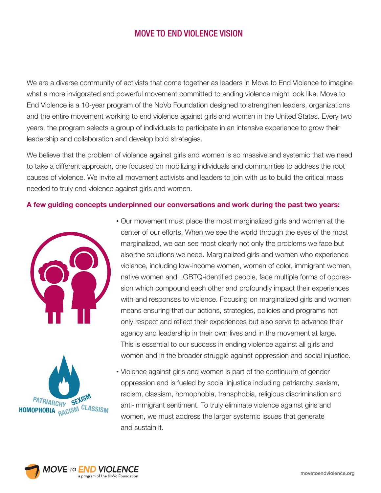We are a diverse community of activists that come together as leaders in Move to End Violence to imagine what a more invigorated and powerful movement committed to ending violence might look like. Move to End Violence is a 10-year program of the NoVo Foundation designed to strengthen leaders, organizations and the entire movement working to end violence against girls and women in the United States. Every two years, the program selects a group of individuals to participate in an intensive experience to grow their leadership and collaboration and develop bold strategies.

We believe that the problem of violence against girls and women is so massive and systemic that we need to take a different approach, one focused on mobilizing individuals and communities to address the root causes of violence. We invite all movement activists and leaders to join with us to build the critical mass needed to truly end violence against girls and women.

#### **A few guiding concepts underpinned our conversations and work during the past two years:**





 • Our movement must place the most marginalized girls and women at the center of our efforts. When we see the world through the eyes of the most marginalized, we can see most clearly not only the problems we face but also the solutions we need. Marginalized girls and women who experience violence, including low-income women, women of color, immigrant women, native women and LGBTQ-identified people, face multiple forms of oppression which compound each other and profoundly impact their experiences with and responses to violence. Focusing on marginalized girls and women means ensuring that our actions, strategies, policies and programs not only respect and reflect their experiences but also serve to advance their agency and leadership in their own lives and in the movement at large. This is essential to our success in ending violence against all girls and women and in the broader struggle against oppression and social injustice.

 • Violence against girls and women is part of the continuum of gender oppression and is fueled by social injustice including patriarchy, sexism, racism, classism, homophobia, transphobia, religious discrimination and anti-immigrant sentiment. To truly eliminate violence against girls and women, we must address the larger systemic issues that generate and sustain it.

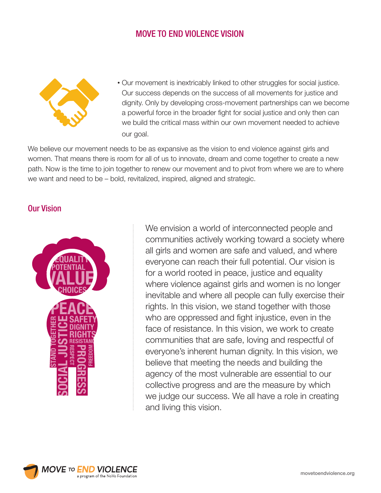

 • Our movement is inextricably linked to other struggles for social justice. Our success depends on the success of all movements for justice and dignity. Only by developing cross-movement partnerships can we become a powerful force in the broader fight for social justice and only then can we build the critical mass within our own movement needed to achieve our goal.

We believe our movement needs to be as expansive as the vision to end violence against girls and women. That means there is room for all of us to innovate, dream and come together to create a new path. Now is the time to join together to renew our movement and to pivot from where we are to where we want and need to be – bold, revitalized, inspired, aligned and strategic.

### Our Vision



We envision a world of interconnected people and communities actively working toward a society where all girls and women are safe and valued, and where everyone can reach their full potential. Our vision is for a world rooted in peace, justice and equality where violence against girls and women is no longer inevitable and where all people can fully exercise their rights. In this vision, we stand together with those who are oppressed and fight injustice, even in the face of resistance. In this vision, we work to create communities that are safe, loving and respectful of everyone's inherent human dignity. In this vision, we believe that meeting the needs and building the agency of the most vulnerable are essential to our collective progress and are the measure by which we judge our success. We all have a role in creating and living this vision.

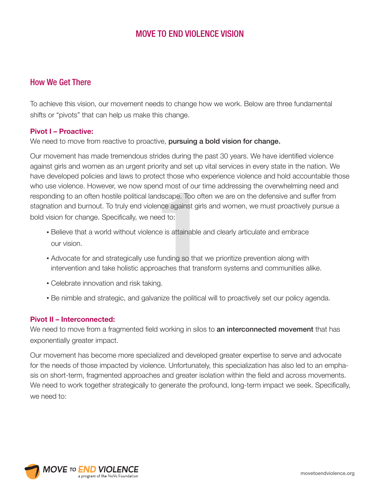## How We Get There

To achieve this vision, our movement needs to change how we work. Below are three fundamental shifts or "pivots" that can help us make this change.

#### **Pivot I – Proactive:**

We need to move from reactive to proactive, pursuing a bold vision for change.

d most of our t<br>dscape. Too oft<br>nce against girls<br>ed to:<br>e is attainable a<br>iunding so that<br>aches that tran Our movement has made tremendous strides during the past 30 years. We have identified violence against girls and women as an urgent priority and set up vital services in every state in the nation. We have developed policies and laws to protect those who experience violence and hold accountable those who use violence. However, we now spend most of our time addressing the overwhelming need and responding to an often hostile political landscape. Too often we are on the defensive and suffer from stagnation and burnout. To truly end violence against girls and women, we must proactively pursue a bold vision for change. Specifically, we need to:

- Believe that a world without violence is attainable and clearly articulate and embrace our vision.
- Advocate for and strategically use funding so that we prioritize prevention along with intervention and take holistic approaches that transform systems and communities alike.
- Celebrate innovation and risk taking.
- Be nimble and strategic, and galvanize the political will to proactively set our policy agenda.

### **Pivot II – Interconnected:**

We need to move from a fragmented field working in silos to **an interconnected movement** that has exponentially greater impact.

Our movement has become more specialized and developed greater expertise to serve and advocate for the needs of those impacted by violence. Unfortunately, this specialization has also led to an emphasis on short-term, fragmented approaches and greater isolation within the field and across movements. We need to work together strategically to generate the profound, long-term impact we seek. Specifically, we need to:

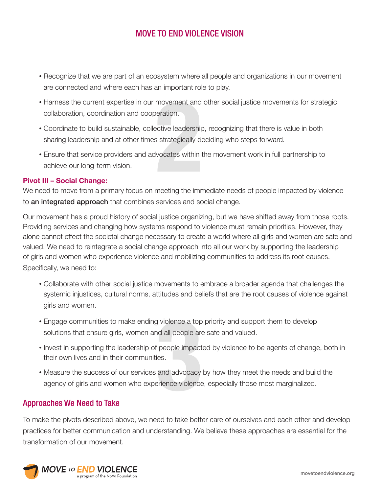- Recognize that we are part of an ecosystem where all people and organizations in our movement are connected and where each has an important role to play.
- movement and<br>**eration.**<br>ective leadership<br>as strategically do<br>vocates within<br>meeting the imm • Harness the current expertise in our movement and other social justice movements for strategic collaboration, coordination and cooperation.
- Coordinate to build sustainable, collective leadership, recognizing that there is value in both sharing leadership and at other times strategically deciding who steps forward.
- Ensure that service providers and advocates within the movement work in full partnership to achieve our long-term vision.

### **Pivot III – Social Change:**

We need to move from a primary focus on meeting the immediate needs of people impacted by violence to an integrated approach that combines services and social change.

Our movement has a proud history of social justice organizing, but we have shifted away from those roots. Providing services and changing how systems respond to violence must remain priorities. However, they alone cannot effect the societal change necessary to create a world where all girls and women are safe and valued. We need to reintegrate a social change approach into all our work by supporting the leadership of girls and women who experience violence and mobilizing communities to address its root causes. Specifically, we need to:

- Collaborate with other social justice movements to embrace a broader agenda that challenges the systemic injustices, cultural norms, attitudes and beliefs that are the root causes of violence against girls and women.
- Engage communities to make ending violence a top priority and support them to develop solutions that ensure girls, women and all people are safe and valued.
- Invest in supporting the leadership of people impacted by violence to be agents of change, both in their own lives and in their communities.
- **3** • Measure the success of our services and advocacy by how they meet the needs and build the agency of girls and women who experience violence, especially those most marginalized.

## Approaches We Need to Take

To make the pivots described above, we need to take better care of ourselves and each other and develop practices for better communication and understanding. We believe these approaches are essential for the transformation of our movement.